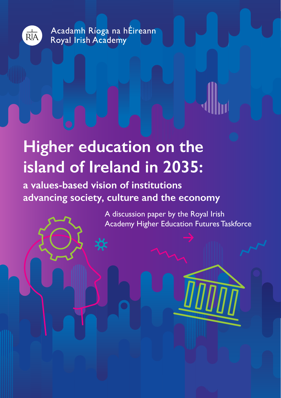

Acadamh Ríoga na hÉireann Royal Irish Academy

# **Higher education on the island of Ireland in 2035:**

**a values-based vision of institutions advancing society, culture and the economy**

> A discussion paper by the Royal Irish Academy Higher Education Futures Taskforce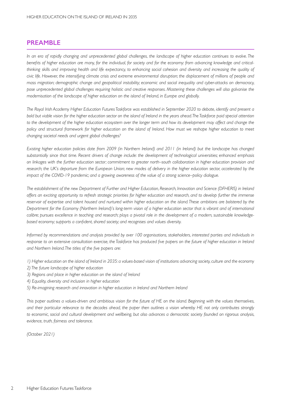## **PREAMBLE**

*In an era of rapidly changing and unprecedented global challenges, the landscape of higher education continues to evolve. The benefits of higher education are many, for the individual, for society and for the economy: from advancing knowledge and criticalthinking skills and improving health and life expectancy, to enhancing social cohesion and diversity and increasing the quality of civic life. However, the intensifying climate crisis and extreme environmental disruption; the displacement of millions of people and mass migration; demographic change and geopolitical instability; economic and social inequality and cyber-attacks on democracy, pose unprecedented global challenges requiring holistic and creative responses. Mastering these challenges will also galvanise the modernisation of the landscape of higher education on the island of Ireland, in Europe and globally.* 

*The Royal Irish Academy Higher Education Futures Taskforce was established in September 2020 to debate, identify and present a bold but viable vision for the higher education sector on the island of Ireland in the years ahead. The Taskforce paid special attention*  to the development of the higher education ecosystem over the longer term and how its development may affect and change the *policy and structural framework for higher education on the island of Ireland. How must we reshape higher education to meet changing societal needs and urgent global challenges?*

*Existing higher education policies date from 2009 (in Northern Ireland) and 2011 (in Ireland) but the landscape has changed substantially since that time. Recent drivers of change include: the development of technological universities; enhanced emphasis on linkages with the further education sector; commitment to greater north–south collaboration in higher education provision and research; the UK's departure from the European Union; new modes of delivery in the higher education sector, accelerated by the impact of the COVID-19 pandemic; and a growing awareness of the value of a strong science–policy dialogue.* 

*The establishment of the new Department of Further and Higher Education, Research, Innovation and Science (DFHERIS) in Ireland offers an exciting opportunity to refresh strategic priorities for higher education and research, and to develop further the immense reservoir of expertise and talent housed and nurtured within higher education on the island. These ambitions are bolstered by the Department for the Economy (Northern Ireland)'s long-term vision of a higher education sector that is vibrant and of international calibre; pursues excellence in teaching and research; plays a pivotal role in the development of a modern, sustainable knowledgebased economy; supports a confident, shared society; and recognises and values diversity.* 

*Informed by recommendations and analysis provided by over 100 organisations, stakeholders, interested parties and individuals in response to an extensive consultation exercise, the Taskforce has produced five papers on the future of higher education in Ireland and Northern Ireland. The titles of the five papers are:*

- *1) Higher education on the island of Ireland in 2035: a values-based vision of institutions advancing society, culture and the economy*
- *2) The future landscape of higher education*
- *3) Regions and place in higher education on the island of Ireland*
- *4) Equality, diversity and inclusion in higher education*
- *5) Re-imagining research and innovation in higher education in Ireland and Northern Ireland*

*This paper outlines a values-driven and ambitious vision for the future of HE on the island. Beginning with the values themselves, and their particular relevance to the decades ahead, the paper then outlines a vision whereby HE not only contributes strongly to economic, social and cultural development and wellbeing, but also advances a democratic society founded on rigorous analysis, evidence, truth, fairness and tolerance.*

*(October 2021)*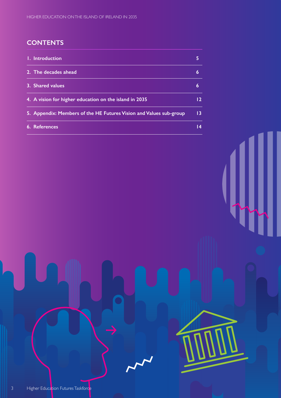## **CONTENTS**

| I. Introduction                                                    | ь               |
|--------------------------------------------------------------------|-----------------|
| 2. The decades ahead                                               | 6               |
| 3. Shared values                                                   | 6               |
| 4. A vision for higher education on the island in 2035             | 12.             |
| 5. Appendix: Members of the HE Futures Vision and Values sub-group | 13 <sup>°</sup> |
| 6. References                                                      | 14              |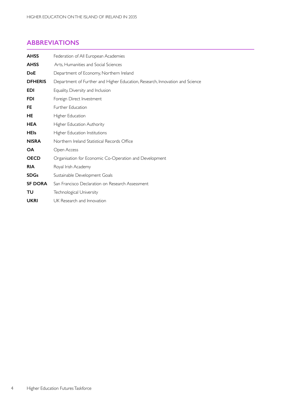## **ABBREVIATIONS**

| <b>AHSS</b>    | Federation of All European Academies                                         |
|----------------|------------------------------------------------------------------------------|
| <b>AHSS</b>    | Arts. Humanities and Social Sciences                                         |
| <b>DoE</b>     | Department of Economy, Northern Ireland                                      |
| <b>DFHERIS</b> | Department of Further and Higher Education, Research, Innovation and Science |
| <b>EDI</b>     | Equality, Diversity and Inclusion                                            |
| <b>FDI</b>     | Foreign Direct Investment                                                    |
| FE.            | <b>Further Education</b>                                                     |
| HE             | Higher Education                                                             |
| <b>HEA</b>     | Higher Education Authority                                                   |
| <b>HEIs</b>    | Higher Education Institutions                                                |
| <b>NISRA</b>   | Northern Ireland Statistical Records Office                                  |
| <b>OA</b>      | Open Access                                                                  |
| <b>OECD</b>    | Organisation for Economic Co-Operation and Development                       |
| <b>RIA</b>     | Royal Irish Academy                                                          |
| <b>SDGs</b>    | Sustainable Development Goals                                                |
| <b>SF DORA</b> | San Francisco Declaration on Research Assessment                             |
| TU             | Technological University                                                     |
| UKRI           | UK Research and Innovation                                                   |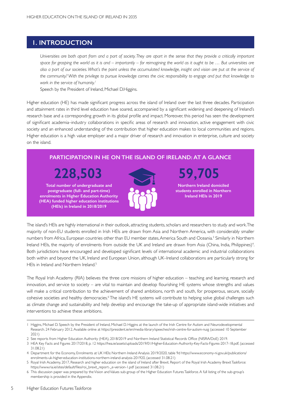## **1. INTRODUCTION**

*Universities are both apart from and a part of society. They are apart in the sense that they provide a critically important*  space for grasping the world as it is and – importantly – for reimagining the world as it ought to be ... But universities are *also a part of our societies. What's the point unless the accumulated knowledge, insight and vision are put at the service of the community? With the privilege to pursue knowledge comes the civic responsibility to engage and put that knowledge to work in the service of humanity.1* 

Speech by the President of Ireland, Michael D.Higgins.

Higher education (HE) has made significant progress across the island of Ireland over the last three decades. Participation and attainment rates in third level education have soared, accompanied by a significant widening and deepening of Ireland's research base and a corresponding growth in its global profile and impact. Moreover, this period has seen the development of significant academia–industry collaborations in specific areas of research and innovation, active engagement with civic society and an enhanced understanding of the contribution that higher education makes to local communities and regions. Higher education is a high value employer and a major driver of research and innovation in enterprise, culture and society on the island.

## **PARTICIPATION IN HE ON THE ISLAND OF IRELAND: AT A GLANCE**

**228,503 59,705**

**Total number of undergraduate and postgraduate (full- and part-time) enrolments in Higher Education Authority (HEA) funded higher education institutions (HEIs) in Ireland in 2018/2019**

**Northern Ireland domiciled students enrolled in Northern Ireland HEIs in 2019**

The island's HEIs are highly international in their outlook, attracting students,scholars and researchers to study and work.The majority of non-EU students enrolled in Irish HEIs are drawn from Asia and Nor thern America, with considerably smaller numbers from Africa, European countries other than EU member states, America South and Oceania.<sup>3</sup> Similarly in Northern Ireland HEIs, the majority of enrolments from outside the UK and Ireland are drawn from Asia (China, India, Philippines)<sup>4</sup>. Both jurisdictions have encouraged and developed significant levels of international academic and industrial collaborations both within and beyond the UK, Ireland and European Union, although UK–Ireland collaborations are particularly strong for HEIs in Ireland and Northern Ireland.<sup>5</sup>

The Royal Irish Academy (RIA) believes the three core missions of higher education – teaching and learning, research and innovation, and service to society – are vital to maintain and develop flourishing HE systems whose strengths and values will make a critical contribution to the achievement of shared ambitions, north and south, for prosperous, secure, socially cohesive societies and healthy democracies.<sup>6</sup> The island's HE systems will contribute to helping solve global challenges such as climate change and sustainability and help develop and encourage the take-up of appropriate island-wide initiatives and interventions to achieve these ambitions.

<sup>1</sup> Higgins, Michael D. Speech by the President of Ireland, Michael D. Higgins at the launch of the Irish Centre for Autism and Neurodevelopmental Research. 24 February 2012. Available online at https://president.ie/en/media-library/speeches/irish-centre-for-autism-nuig (accessed 10 September 2021)

<sup>2</sup> See reports from Higher Education Authority (HEA), 2018/2019 and Northern Ireland Statistical Records Office (NISRA/DoE) 2019.

<sup>3</sup> HEA Key Facts and Figures 2017/2018, p. 12 https://hea.ie/assets/uploads/2019/01/Higher-Education-Authority-Key-Facts-Figures-2017-18.pdf, (accessed 31.08.21)

<sup>4</sup> Depar tment for the Economy, Enrolments at UK HEIs: Nor thern Ireland Analysis 2019/2020, table 9d https://www.economy-ni.gov.uk/publications/ enrolments-uk-higher-education-institutions-northern-ireland-analysis-201920, (accessed 31.08.21)

<sup>5</sup> Royal Irish Academy, 2017, Research and higher education on the island of Ireland after Brexit. Report of the Royal Irish Academy Brexit Taskforce: https://www.ria.ie/sites/default/files/roi\_brexit\_report-\_e-version-1.pdf (accessed 31.08.21)

<sup>6</sup> This discussion paper was prepared by the Vision and Values sub-group of the Higher Education Futures Taskforce. A full listing of the sub-group's membership is provided in the Appendix.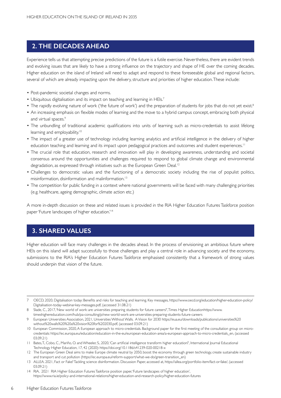## **2. THE DECADES AHEAD**

Experience tells us that attempting precise predictions of the future is a futile exercise. Nevertheless, there are evident trends and evolving issues that are likely to have a strong influence on the trajectory and shape of HE over the coming decades. Higher education on the island of Ireland will need to adapt and respond to these foreseeable global and regional factors, several of which are already impacting upon the delivery, structure and priorities of higher education.These include:

- Post-pandemic societal changes and norms.
- Ubiquitous digitalisation and its impact on teaching and learning in HEIs.7
- The rapidly evolving nature of work ('the future of work') and the preparation of students for jobs that do not yet exist.<sup>8</sup>
- An increasing emphasis on flexible modes of learning and the move to a hybrid campus concept, embracing both physical and virtual spaces.<sup>9</sup>
- The unbundling of traditional academic qualifications into units of learning such as micro-credentials to assist lifelong learning and employability.<sup>10</sup>
- The impact of a greater use of technology including learning analytics and artificial intelligence in the delivery of higher education teaching and learning and its impact upon pedagogical practices and outcomes and student experiences.<sup>11</sup>
- The crucial role that education, research and innovation will play in developing awareness, understanding and societal consensus around the opportunities and challenges required to respond to global climate change and environmental degradation, as expressed through initiatives such as the European Green Deal.<sup>12</sup>
- Challenges to democratic values and the functioning of a democratic society including the rise of populist politics, misinformation, disinformation and malinformation.<sup>13</sup>
- The competition for public funding in a context where national governments will be faced with many challenging priorities (e.g. healthcare, ageing demographic, climate action etc.)

A more in-depth discussion on these and related issues is provided in the RIA Higher Education Futures Taskforce position paper 'Future landscapes of higher education.'<sup>14</sup>

## **3. SHARED VALUES**

Higher education will face many challenges in the decades ahead. In the process of envisioning an ambitious future where HEIs on this island will adapt successfully to those challenges and play a central role in advancing society and the economy, submissions to the RIA's Higher Education Futures Taskforce emphasised consistently that a framework of strong values should underpin that vision of the future.

<sup>7</sup> OECD, 2020, Digitalisation today: Benefits and risks for teaching and learning. Key messages, https://www.oecd.org/education/higher-education-policy/ Digitalisation-today-webinar-key-messages.pdf, (accessed 31.08.21)

<sup>8</sup> Slade, C., 2017, 'New world of work: are universities preparing students for future careers?',Times Higher Educationhttps://www. timeshighereducation.com/hub/pa-consulting/p/new-world-work-are-universities-preparing-students-future-careers

<sup>9</sup> European Universities Association, 2021, Universities Without Walls. AVision for 2030 https://eua.eu/downloads/publications/universities%20 without%20walls%20%20a%20vision%20for%202030.pdf, (accessed 03.09.21)

<sup>10</sup> European Commission, 2020, A European approach to micro-credentials. Background paper for the first meeting of the consultation group on microcredentials: https://ec.europa.eu/education/education-in-the-eu/european-education-area/a-european-approach-to-micro-credentials\_en, (accessed 03.09.21)

<sup>11</sup> Bates, T., Cobo, C., Mariño, O. and Wheeler, S., 2020, 'Can artificial intelligence transform higher education?', International Journal Educational Technology Higher Education, 17, 42 (2020): https://doi.org/10.1186/s41239-020-00218-x

<sup>12</sup> The European Green Deal aims to make Europe climate neutral by 2050, boost the economy through green technology, create sustainable industry and transport and cut pollution (https://ec.europa.eu/reform-support/what-we-do/green-transition\_en)

<sup>13</sup> ALLEA. 2021, Fact or Fake? Tackling science disinformation. Discussion Paper, accessed at, https://allea.org/portfolio-item/fact-or-fake/, (accessed 03.09.21)

<sup>14</sup> RIA, 2021 RIA Higher Education Futures Taskforce position paper, 'Future landscapes of higher education', https://www.ria.ie/policy-and-international-relations/higher-education-and-research-policy/higher-education-futures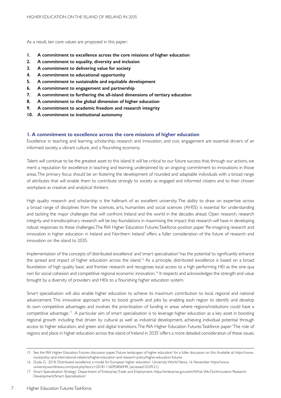As a result, ten core values are proposed in this paper:

- **1. A commitment to excellence across the core missions of higher education**
- **2. A commitment to equality, diversity and inclusion**
- **3. A commitment to delivering value for society**
- **4. A commitment to educational opportunity**
- **5. A commitment to sustainable and equitable development**
- **6. A commitment to engagement and partnership**
- **7. A commitment to furthering the all-island dimensions of tertiary education**
- **8. A commitment to the global dimension of higher education**
- **9. A commitment to academic freedom and research integrity**
- **10. A commitment to institutional autonomy**

### **1. A commitment to excellence across the core missions of higher education**

Excellence in teaching and learning, scholarship, research and innovation, and civic engagement are essential drivers of an informed society, a vibrant culture, and a flourishing economy.

Talent will continue to be the greatest asset to this island. It will be critical to our future success that, through our actions, we merit a reputation for excellence in teaching and learning, underpinned by an ongoing commitment to innovations in those areas.The primary focus should be on fostering the development of rounded and adaptable individuals with a broad range of attributes that will enable them to contribute strongly to society as engaged and informed citizens and to their chosen workplace as creative and analytical thinkers.

High quality research and scholarship is the hallmark of an excellent university. The ability to draw on expertise across a broad range of disciplines from the sciences, arts, humanities and social sciences (AHSS) is essential for understanding and tackling the major challenges that will confront Ireland and the world in the decades ahead. Open research, research integrity and transdisciplinary research will be key foundations in maximising the impact that research will have in developing robust responses to these challenges.The RIA Higher Education FuturesTaskforce position paper'Re-imagining research and innovation in higher education in Ireland and Northern Ireland' offers a fuller consideration of the future of research and innovation on the island to 2035.

Implementation of the concepts of 'distributed excellence' and 'smart specialisation' has the potential to significantly enhance the spread and impact of higher education across the island.<sup>15</sup> As a principle, distributed excellence is based on a broad foundation of high quality basic and frontier research and recognises local access to a high performing HEI as the sine qua non for social cohesion and competitive regional economic innovation.<sup>16</sup> It respects and acknowledges the strength and value brought by a diversity of providers and HEIs to a flourishing higher education system.

Smart specialisation will also enable higher education to achieve its maximum contribution to local, regional and national advancement. This innovative approach aims to boost growth and jobs by enabling each region to identify and develop its own competitive advantages and involves the prioritisation of funding in areas where regions/institutions could have a competitive advantage.17 A particular aim of smart specialisation is to leverage higher education as a key asset in boosting regional growth including that driven by cultural as well as industrial development, achieving individual potential through access to higher education, and green and digital transitions.The RIA Higher Education Futures Taskforce paper 'The role of regions and place in higher education across the island of Ireland in 2035' offers a more detailed consideration of these issues.

7

<sup>15</sup> See the RIA Higher Education Futures discussion paper, Future landscapes of higher education' for a fuller discussion on this. Available at: https://www. ria.ie/policy-and-international-relations/higher-education-and-research-policy/higher-education-futures

<sup>16</sup> Duda, G. 2018. 'Distributed excellence: a model for European higher education'. University World News, 16 November https://www. universityworldnews.com/post.php?story=20181116095806949, (accessed 03.09.21)

<sup>17</sup> Smart Specialisation Strategy'. Department of Enterprise,Trade and Employment. https://enterprise.gov.ie/en/What-We-Do/Innovation-Research-Development/Smart-Specialisation/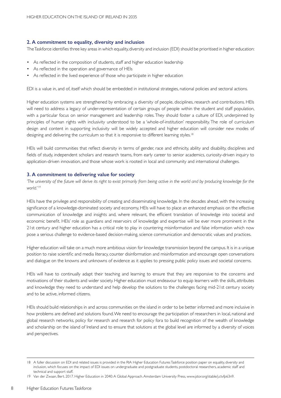#### **2. A commitment to equality, diversity and inclusion**

TheTaskforce identifies three key areas in which equality,diversity and inclusion (EDI) should be prioritised in higher education:

- As reflected in the composition of students, staff and higher education leadership
- As reflected in the operation and governance of HEIs
- As reflected in the lived experience of those who participate in higher education

EDI is a value in, and of, itself which should be embedded in institutional strategies, national policies and sectoral actions.

Higher education systems are strengthened by embracing a diversity of people, disciplines, research and contributions. HEIs will need to address a legacy of under-representation of certain groups of people within the student and staff population, with a particular focus on senior management and leadership roles. They should foster a culture of EDI, underpinned by principles of human rights with inclusivity understood to be a 'whole-of-institution' responsibility. The role of curriculum design and content in supporting inclusivity will be widely accepted and higher education will consider new modes of designing and delivering the curriculum so that it is responsive to different learning styles.<sup>18</sup>

HEIs will build communities that reflect diversity in terms of gender, race and ethnicity, ability and disability, disciplines and fields of study, independent scholars and research teams, from early career to senior academics, curiosity-driven inquiry to application-driven innovation, and those whose work is rooted in local and community and international challenges.

#### **3. A commitment to delivering value for society**

*'The university of the future will derive its right to exist primarily from being active in the world and by producing knowledge for the world.'19*

HEIs have the privilege and responsibility of creating and disseminating knowledge. In the decades ahead, with the increasing significance of a knowledge-dominated society and economy, HEIs will have to place an enhanced emphasis on the effective communication of knowledge and insights and, where relevant, the efficient translation of knowledge into societal and economic benefit. HEIs' role as guardians and reservoirs of knowledge and expertise will be ever more prominent in the 21st century and higher education has a critical role to play in countering misinformation and false information which now pose a serious challenge to evidence-based decision-making, science communication and democratic values and practices.

Higher education will take on a much more ambitious vision for knowledge transmission beyond the campus. It is in a unique position to raise scientific and media literacy, counter disinformation and misinformation and encourage open conversations and dialogue on the knowns and unknowns of evidence as it applies to pressing public policy issues and societal concerns.

HEIs will have to continually adapt their teaching and learning to ensure that they are responsive to the concerns and motivations of their students and wider society. Higher education must endeavour to equip learners with the skills, attributes and knowledge they need to understand and help develop the solutions to the challenges facing mid-21st century society and to be active, informed citizens.

HEIs should build relationships in and across communities on the island in order to be better informed and more inclusive in how problems are defined and solutions found. We need to encourage the participation of researchers in local, national and global research networks, policy for research and research for policy fora to build recognition of the wealth of knowledge and scholarship on the island of Ireland and to ensure that solutions at the global level are informed by a diversity of voices and perspectives.

<sup>18</sup> A fuller discussion on EDI and related issues is provided in the RIA Higher Education Futures Taskforce position paper on equality, diversity and inclusion, which focuses on the impact of EDI issues on undergraduate and postgraduate students, postdoctoral researchers, academic staff and technical and support staff.

<sup>19</sup> Van der Zwaan, Bert. 2017. Higher Education in 2040: A Global Approach. Amsterdam University Press, www.jstor.org/stable/j.ctvfp63n9.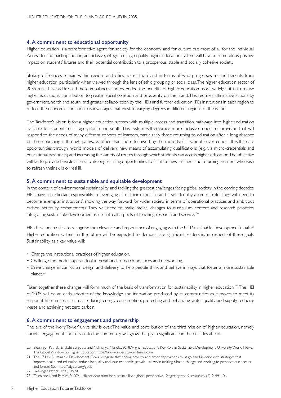#### **4. A commitment to educational opportunity**

Higher education is a transformative agent for society, for the economy and for culture but most of all for the individual. Access to, and participation in, an inclusive, integrated, high quality higher education system will have a tremendous positive impact on students' futures and their potential contribution to a prosperous, stable and socially cohesive society.

Striking differences remain within regions and cities across the island in terms of who progresses to, and benefits from, higher education, particularly when viewed through the lens of ethic grouping or social class. The higher education sector of 2035 must have addressed these imbalances and extended the benefits of higher education more widely if it is to realise higher education's contribution to greater social cohesion and prosperity on the island.This requires affirmative actions by government, north and south, and greater collaboration by the HEIs and further education (FE) institutions in each region to reduce the economic and social disadvantages that exist to varying degrees in different regions of the island.

The Taskforce's vision is for a higher education system with multiple access and transition pathways into higher education available for students of all ages, north and south. This system will embrace more inclusive modes of provision that will respond to the needs of many different cohorts of learners, particularly those returning to education after a long absence or those pursuing it through pathways other than those followed by the more typical school-leaver cohort. It will create oppor tunities through hybrid models of delivery, new means of accumulating qualifications (e.g. via micro-credentials and educational passports) and increasing the variety of routes through which students can access higher education. The objective will be to provide flexible access to lifelong learning opportunities to facilitate new learners and returning learners who wish to refresh their skills or reskill.

#### **5. A commitment to sustainable and equitable development**

In the context of environmental sustainability and tackling the greatest challenges facing global society in the coming decades, HEIs have a particular responsibility in leveraging all of their expertise and assets to play a central role. They will need to become 'exemplar institutions', showing the way forward for wider society in terms of operational practices and ambitious carbon neutrality commitments. They will need to make radical changes to curriculum content and research priorities, integrating sustainable development issues into all aspects of teaching, research and service. 20

HEIs have been quick to recognise the relevance and importance of engaging with the UN Sustainable Development Goals.<sup>21</sup> Higher education systems in the future will be expected to demonstrate significant leadership in respect of these goals. Sustainability as a key value will:

- Change the institutional practices of higher education.
- Challenge the modus operandi of international research practices and networking.
- Drive change in curriculum design and delivery to help people think and behave in ways that foster a more sustainable planet.<sup>22</sup>

Taken together these changes will form much of the basis of transformation for sustainability in higher education. <sup>23</sup> The HEI of 2035 will be an early adopter of the knowledge and innovation produced by its communities as it moves to meet its responsibilities in areas such as reducing energy consumption, protecting and enhancing water quality and supply, reducing waste and achieving net zero carbon.

#### **6. A commitment to engagement and partnership**

The era of the 'Ivory Tower' university is over.The value and contribution of the third mission of higher education, namely societal engagement and service to the community, will grow sharply in significance in the decades ahead.

9

<sup>20</sup> Blessinger, Patrick., Enakshi Sengupta and Makhanya, Mandla., 2018. 'Higher Education's Key Role in Sustainable Development. University World News: The Global Window on Higher Education. https://www.universityworldnews.com

<sup>21</sup> The 17 UN Sustainable Development Goals recognise that ending poverty and other deprivations must go hand-in-hand with strategies that improve health and education, reduce inequality and spur economic growth – all while tackling climate change and working to preserve our oceans and forests. See https://sdgs.un.org/goals

<sup>22</sup> Blessinger, Patrick., et al, Op cit.

<sup>23</sup> Žalėnienė, I. and Pereira, P. 2021. Higher education for sustainability: a global perspective. *Geography and Sustainability* (2), 2, 99–106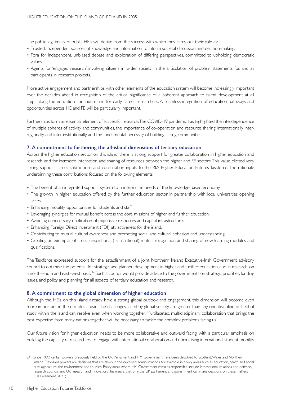The public legitimacy of public HEIs will derive from the success with which they carry out their role as:

- • Trusted, independent sources of knowledge and information to inform societal discussion and decision-making.
- Fora for independent, unbiased debate and exploration of differing perspectives, committed to upholding democratic values.
- • Agents for 'engaged research' involving citizens in wider society in the ar ticulation of problem statements for, and as participants in, research projects.

More active engagement and partnerships with other elements of the education system will become increasingly important over the decades ahead in recognition of the critical significance of a coherent approach to talent development at all steps along the education continuum and for early career researchers. A seamless integration of education pathways and opportunities across HE and FE will be particularly important.

Partnerships form an essential element of successful research.The COVID-19 pandemic has highlighted the interdependence of multiple spheres of activity and communities, the importance of co-operation and resource sharing, internationally, interregionally and inter-institutionally, and the fundamental necessity of building caring communities.

#### **7. A commitment to furthering the all-island dimensions of tertiary education**

Across the higher education sector on this island, there is strong support for greater collaboration in higher education and research, and for increased interaction and sharing of resources between the higher and FE sectors.This value elicited very strong support across submissions and consultation inputs to the RIA Higher Education Futures Taskforce. The rationale underpinning these contributions focused on the following elements:

- The benefit of an integrated support system to underpin the needs of the knowledge-based economy.
- The growth in higher education offered by the further education sector in partnership with local universities opening access.
- Enhancing mobility opportunities for students and staff.
- Leveraging synergies for mutual benefit across the core missions of higher and further education.
- Avoiding unnecessary duplication of expensive resources and capital infrastructure.
- Enhancing Foreign Direct Investment (FDI) attractiveness for the island.
- • Contributing to mutual cultural awareness and promoting social and cultural cohesion and understanding.
- • Creating an exemplar of cross-jurisdictional (transnational) mutual recognition and sharing of new learning modules and qualifications.

The Taskforce expressed support for the establishment of a joint Northern Ireland Executive-Irish Government advisory council to optimise the potential for strategic and planned development in higher and further education, and in research, on a nor th–south and east–west basis. <sup>24</sup> Such a council would provide advice to the governments on strategic priorities, funding issues, and policy and planning for all aspects of tertiary education and research.

#### **8. A commitment to the global dimension of higher education**

Although the HEIs on this island already have a strong global outlook and engagement, this dimension will become even more important in the decades ahead. The challenges faced by global society are greater than any one discipline or field of study within the island can resolve even when working together. Multifaceted, multidisciplinary collaboration that brings the best expertise from many nations together will be necessary to tackle the complex problems facing us.

Our future vision for higher education needs to be more collaborative and outward facing, with a particular emphasis on building the capacity of researchers to engage with international collaboration and normalising international student mobility.

<sup>24</sup> Since 1999, certain powers previously held by the UK Parliament and HM Government have been devolved to Scotland, Wales and Northern Ireland. Devolved powers are decisions that are taken in the devolved administrations, for example in policy areas such as education, health and social care, agriculture, the environment and tourism. Policy areas where HM Government remains responsible include international relations and defence, research councils and UK research and innovation. This means that only the UK parliament and government can make decisions on these matters (UK Parliament, 2021).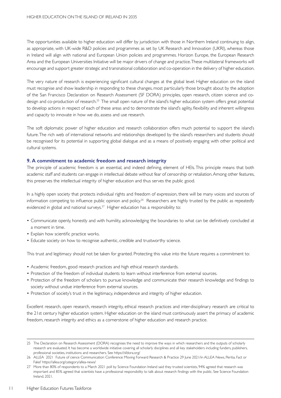The opportunities available to higher education will differ by jurisdiction with those in Northern Ireland continuing to align, as appropriate, with UK-wide R&D policies and programmes as set by UK Research and Innovation (UKRI), whereas those in Ireland will align with national and European Union policies and programmes. Horizon Europe, the European Research Area and the European Universities Initiative will be major drivers of change and practice.These multilateral frameworks will encourage and support greater strategic and transnational collaboration and co-operation in the delivery of higher education.

The very nature of research is experiencing significant cultural changes at the global level. Higher education on the island must recognise and show leadership in responding to these changes, most par ticularly those brought about by the adoption of the San Francisco Declaration on Research Assessment (SF DORA) principles, open research, citizen science and codesign and co-production of research.25 The small open nature of the island's higher education system offers great potential to develop actions in respect of each of these areas and to demonstrate the island's agility, flexibility and inherent willingness and capacity to innovate in how we do, assess and use research.

The soft diplomatic power of higher education and research collaboration offers much potential to support the island's future.The rich web of international networks and relationships developed by the island's researchers and students should be recognised for its potential in supporting global dialogue and as a means of positively engaging with other political and cultural systems.

#### **9. A commitment to academic freedom and research integrity**

The principle of academic freedom is an essential, and indeed defining, element of HEIs. This principle means that both academic staff and students can engage in intellectual debate without fear of censorship or retaliation.Among other features, this preserves the intellectual integrity of higher education and thus serves the public good.

In a highly open society that protects individual rights and freedom of expression, there will be many voices and sources of information competing to influence public opinion and policy.<sup>26</sup> Researchers are highly trusted by the public as repeatedly evidenced in global and national surveys.<sup>27</sup> Higher education has a responsibility to:

- • Communicate openly, honestly and with humility, acknowledging the boundaries to what can be definitively concluded at a moment in time.
- Explain how scientific practice works.
- Educate society on how to recognise authentic, credible and trustworthy science.

This trust and legitimacy should not be taken for granted. Protecting this value into the future requires a commitment to:

- Academic freedom, good research practices and high ethical research standards.
- Protection of the freedom of individual students to learn without interference from external sources.
- • Protection of the freedom of scholars to pursue knowledge and communicate their research knowledge and findings to society without undue interference from external sources.
- Protection of society's trust in the legitimacy, independence and integrity of higher education.

Excellent research, open research, research integrity, ethical research practices and inter-disciplinary research are critical to the 21st century higher education system. Higher education on the island must continuously assert the primacy of academic freedom, research integrity and ethics as a cornerstone of higher education and research practice.

<sup>25</sup> The Declaration on Research Assessment (DORA) recognises the need to improve the ways in which researchers and the outputs of scholarly research are evaluated. It has become a worldwide initiative covering all scholarly disciplines and all key stakeholders including funders, publishers, professional societies, institutions and researchers. See https://sfdora.org/

<sup>26</sup> ALLEA 2021 Future of cience Communication Conference: Moving Forward Research & Practice 29 June 2021/in ALLEA News, Peritia. Fact or Fake? https://allea.org/category/allea-news/

<sup>27</sup> More than 80% of respondents to a March 2021 poll by Science Foundation Ireland said they trusted scientists, 94% agreed that research was important and 85% agreed that scientists have a professional responsibility to talk about research findings with the public. See Science Foundation Ireland, 2021.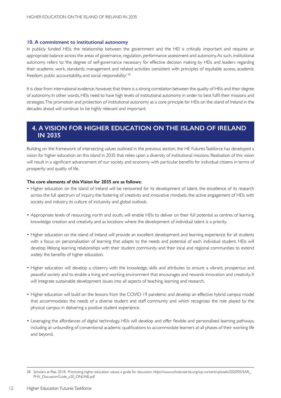#### **10. A commitment to institutional autonomy**

In publicly funded HEIs, the relationship between the government and the HEI is critically important and requires an appropriate balance across the areas of governance, regulation, performance assessment and autonomy. As such, institutional autonomy refers to: 'the degree of self-governance necessary for effective decision making by HEIs and leaders regarding their academic work, standards, management and related activities consistent with principles of equitable access, academic freedom, public accountability, and social responsibility.<sup>' 28</sup>

It is clear from international evidence, however, that there is a strong correlation between the quality of HEIs and their degree of autonomy. In other words, HEIs need to have high levels of institutional autonomy in order to best fulfil their missions and strategies. The promotion and protection of institutional autonomy as a core principle for HEIs on the island of Ireland in the decades ahead will continue to be highly relevant and important.

## **4. A VISION FOR HIGHER EDUCATION ON THE ISLAND OF IRELAND IN 2035**

Building on the framework of intersecting values outlined in the previous section, the HE FuturesTaskforce has developed a vision for higher education on this island in 2035 that relies upon a diversity of institutional missions. Realisation of this vision will result in a significant advancement of our society and economy with particular benefits for individual citizens in terms of prosperity and quality of life.

#### **The core elements of this Vision for 2035 are as follows:**

- • Higher education on the island of Ireland will be renowned for its development of talent, the excellence of its research across the full spectrum of inquiry, the fostering of creativity and innovative mindsets, the active engagement of HEIs with society and industry, its culture of inclusivity and global outlook.
- Appropriate levels of resourcing, north and south, will enable HEIs to deliver on their full potential as centres of learning, knowledge creation and creativity, and as locations where the development of individual talent is a priority.
- Higher education on the island of Ireland will provide an excellent development and learning experience for all students with a focus on personalisation of learning that adapts to the needs and potential of each individual student. HEIs will develop lifelong learning relationships with their student community and their local and regional communities to extend widely the benefits of higher education.
- • Higher education will develop a citizenry with the knowledge, skills and attributes to ensure a vibrant, prosperous and peaceful society and to enable a living and working environment that encourages and rewards innovation and creativity. It will integrate sustainable development issues into all aspects of teaching, learning and research.
- Higher education will build on the lessons from the COVID-19 pandemic and develop an effective hybrid campus model that accommodates the needs of a diverse student and staff community and which recognises the role played by the physical campus in delivering a positive student experience.
- • Leveraging the affordances of digital technology, HEIs will develop and offer flexible and personalised learning pathways, including an unbundling of conventional academic qualifications to accommodate learners at all phases of their working life and beyond.

<sup>28</sup> Scholars at Risk. 2018. Promoting higher education values: a guide for discussion. https://www.scholarsatrisk.org/wp-content/uploads/2020/05/SAR\_ PHV\_DiscussionGuide\_v20\_ONLINE.pdf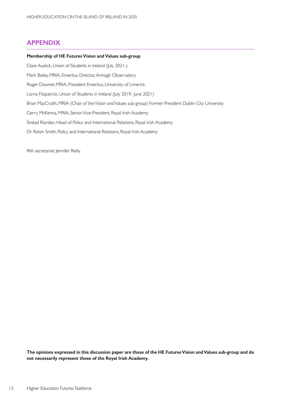## **APPENDIX**

#### **Membership of HE Futures Vision and Values sub-group**

Clare Austick, Union of Students in Ireland (July 2021-) Mark Bailey, MRIA, Emeritus Director, Armagh Observatory

Roger Downer, MRIA, President Emeritus, University of Limerick

Lorna Fitzpatrick, Union of Students in Ireland (July 2019- June 2021)

Brian MacCraith, MRIA (Chair of the Vision and Values sub-group) Former President Dublin City University

Gerry McKenna, MRIA, SeniorVice-President, Royal Irish Academy

Sinéad Riordan, Head of Policy and International Relations, Royal Irish Academy

Dr Róisín Smith, Policy and International Relations, Royal Irish Academy

RIA secretariat: Jennifer Reilly

**The opinions expressed in this discussion paper are those of the HE Futures Vision and Values sub-group and do not necessarily represent those of the Royal Irish Academy.**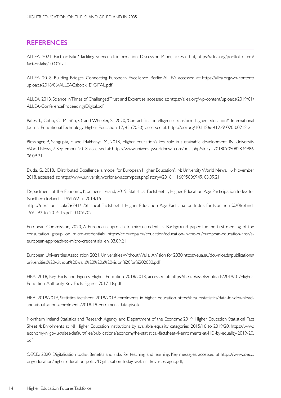## **REFERENCES**

ALLEA. 2021, Fact or Fake? Tackling science disinformation. Discussion Paper, accessed at, https://allea.org/portfolio-item/ fact-or-fake/, 03.09.21

ALLEA, 2018. Building Bridges. Connecting European Excellence. Berlin: ALLEA accessed at: https://allea.org/wp-content/ uploads/2018/06/ALLEAGsbook\_DIGITAL.pdf

ALLEA, 2018. Science in Times of Challenged Trust and Expertise, accessed at: https://allea.org/wp-content/uploads/2019/01/ ALLEA-ConferenceProceedingsDigital.pdf

Bates, T., Cobo, C., Mariño, O. and Wheeler, S., 2020, 'Can ar tificial intelligence transform higher education?', International Journal EducationalTechnology Higher Education, 17, 42 (2020), accessed at: https://doi.org/10.1186/s41239-020-00218-x

Blessinger, P., Sengupta, E. and Makhanya, M., 2018, 'Higher education's key role in sustainable development' IN: University World News, 7 September 2018, accessed at: https://www.universityworldnews.com/post.php?story=20180905082834986, 06.09.21

Duda, G., 2018, 'Distributed Excellence: a model for European Higher Education', IN: UniversityWorld News, 16 November 2018, accessed at: https://www.universityworldnews.com/post.php?story=20181116095806949, 03.09.21

Department of the Economy, Northern Ireland, 2019, Statistical Factsheet 1, Higher Education Age Participation Index for Northern Ireland - 1991/92 to 2014/15

https://dera.ioe.ac.uk/26741/1/Stastical-Factsheet-1-Higher-Education-Age-Par ticipation-Index-for-Nor thern%20Ireland-1991-92-to-2014-15.pdf, 03.09.2021

European Commission, 2020, A European approach to micro-credentials. Background paper for the first meeting of the consultation group on micro-credentials: https://ec.europa.eu/education/education-in-the-eu/european-education-area/aeuropean-approach-to-micro-credentials\_en, 03.09.21

European UniversitiesAssociation, 2021,UniversitiesWithoutWalls. AVision for 2030 https://eua.eu/downloads/publications/ universities%20without%20walls%20%20a%20vision%20for%202030.pdf

HEA, 2018, Key Facts and Figures Higher Education 2018/2018, accessed at: https://hea.ie/assets/uploads/2019/01/Higher-Education-Authority-Key-Facts-Figures-2017-18.pdf

HEA, 2018/2019, Statistics factsheet, 2018/2019 enrolments in higher education https://hea.ie/statistics/data-for-downloadand-visualisations/enrolments/2018-19-enrolment-data-pivot/

Northern Ireland Statistics and Research Agency and Department of the Economy, 2019, Higher Education Statistical Fact Sheet 4: Enrolments at NI Higher Education Institutions by available equality categories: 2015/16 to 2019/20, https://www. economy-ni.gov.uk/sites/default/files/publications/economy/he-statistical-factsheet-4-enrolments-at-HEI-by-equality-2019-20. pdf

OECD, 2020, Digitalisation today: Benefits and risks for teaching and learning. Key messages, accessed at https://www.oecd. org/education/higher-education-policy/Digitalisation-today-webinar-key-messages.pdf,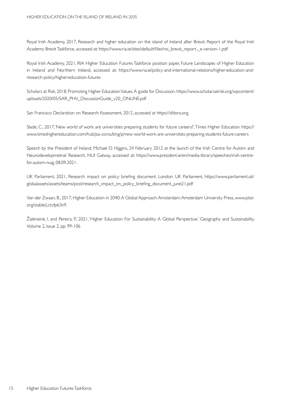Royal Irish Academy, 2017, Research and higher education on the island of Ireland after Brexit. Report of the Royal Irish Academy Brexit Taskforce, accessed at: https://www.ria.ie/sites/default/files/roi\_brexit\_report-\_e-version-1.pdf

Royal Irish Academy, 2021, RIA Higher Education Futures Taskforce position paper, Future Landscapes of Higher Education in Ireland and Nor thern Ireland, accessed at: https://www.ria.ie/policy-and-international-relations/higher-education-andresearch-policy/higher-education-futures

Scholars at Risk, 2018, Promoting Higher Education Values. A guide for Discussion. https://www.scholarsatrisk.org/wpcontent/ uploads/2020/05/SAR\_PHV\_DiscussionGuide\_v20\_ONLINE.pdf

San Francisco Declaration on Research Assessment, 2012, accessed at https://sfdora.org,

Slade, C., 2017, 'New world of work: are universities preparing students for future careers?',Times Higher Education. https:// www.timeshighereducation.com/hub/pa-consulting/p/new-world-work-are-universities-preparing-students-future-careers

Speech by the President of Ireland, Michael D. Higgins, 24 February 2012 at the launch of the Irish Centre for Autism and Neurodevelopmetnal Research, NUI Galway, accessed at: https://www.president.ie/en/media-library/speeches/irish-centrefor-autism-nuig, 08.09.2021.

UK Parliament, 2021, Research impact on policy: briefing document. London: UK Parliament, https://www.parliament.uk/ globalassets/assets/teams/post/research\_impact\_on\_policy\_briefing\_document\_june21.pdf

Van der Zwaan, B., 2017, Higher Education in 2040:A Global Approach.Amsterdam:Amsterdam University Press, www.jstor. org/stable/j.ctvfp63n9.

Žalėnienė, I. and Pereira, P., 2021, 'Higher Education For Sustainability: A Global Perspective.' Geography and Sustainability. Volume 2, Issue 2, pp. 99-106